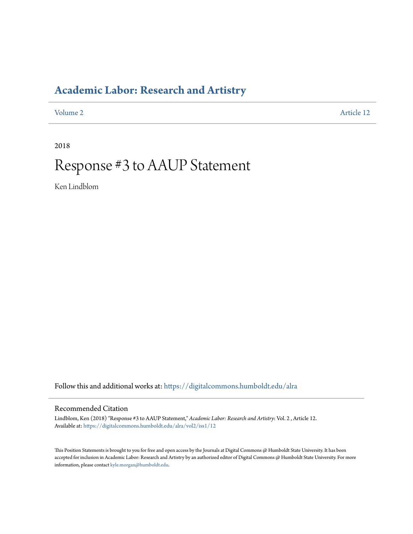### **[Academic Labor: Research and Artistry](https://digitalcommons.humboldt.edu/alra?utm_source=digitalcommons.humboldt.edu%2Falra%2Fvol2%2Fiss1%2F12&utm_medium=PDF&utm_campaign=PDFCoverPages)**

[Volume 2](https://digitalcommons.humboldt.edu/alra/vol2?utm_source=digitalcommons.humboldt.edu%2Falra%2Fvol2%2Fiss1%2F12&utm_medium=PDF&utm_campaign=PDFCoverPages) [Article 12](https://digitalcommons.humboldt.edu/alra/vol2/iss1/12?utm_source=digitalcommons.humboldt.edu%2Falra%2Fvol2%2Fiss1%2F12&utm_medium=PDF&utm_campaign=PDFCoverPages)

2018

# Response #3 to AAUP Statement

Ken Lindblom

Follow this and additional works at: [https://digitalcommons.humboldt.edu/alra](https://digitalcommons.humboldt.edu/alra?utm_source=digitalcommons.humboldt.edu%2Falra%2Fvol2%2Fiss1%2F12&utm_medium=PDF&utm_campaign=PDFCoverPages)

### Recommended Citation

Lindblom, Ken (2018) "Response #3 to AAUP Statement," *Academic Labor: Research and Artistry*: Vol. 2 , Article 12. Available at: [https://digitalcommons.humboldt.edu/alra/vol2/iss1/12](https://digitalcommons.humboldt.edu/alra/vol2/iss1/12?utm_source=digitalcommons.humboldt.edu%2Falra%2Fvol2%2Fiss1%2F12&utm_medium=PDF&utm_campaign=PDFCoverPages)

This Position Statements is brought to you for free and open access by the Journals at Digital Commons @ Humboldt State University. It has been accepted for inclusion in Academic Labor: Research and Artistry by an authorized editor of Digital Commons @ Humboldt State University. For more information, please contact [kyle.morgan@humboldt.edu.](mailto:kyle.morgan@humboldt.edu)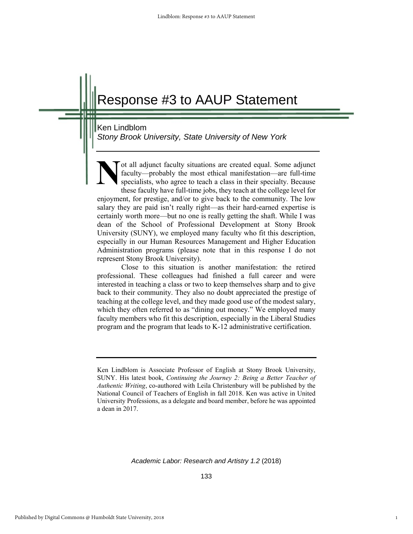## Response #3 to AAUP Statement

#### Ken Lindblom

*Stony Brook University, State University of New York*

ot all adjunct faculty situations are created equal. Some adjunct faculty—probably the most ethical manifestation—are full-time specialists, who agree to teach a class in their specialty. Because these faculty have full-time jobs, they teach at the college level for enjoyment, for prestige, and/or to give back to the community. The low salary they are paid isn't really right—as their hard-earned expertise is certainly worth more—but no one is really getting the shaft. While I was dean of the School of Professional Development at Stony Brook University (SUNY), we employed many faculty who fit this description, especially in our Human Resources Management and Higher Education Administration programs (please note that in this response I do not represent Stony Brook University). **N**

Close to this situation is another manifestation: the retired professional. These colleagues had finished a full career and were interested in teaching a class or two to keep themselves sharp and to give back to their community. They also no doubt appreciated the prestige of teaching at the college level, and they made good use of the modest salary, which they often referred to as "dining out money." We employed many faculty members who fit this description, especially in the Liberal Studies program and the program that leads to K-12 administrative certification.

*Academic Labor: Research and Artistry 1.2* (2018)

1

Ken Lindblom is Associate Professor of English at Stony Brook University, SUNY. His latest book, *Continuing the Journey 2: Being a Better Teacher of Authentic Writing*, co-authored with Leila Christenbury will be published by the National Council of Teachers of English in fall 2018. Ken was active in United University Professions, as a delegate and board member, before he was appointed a dean in 2017.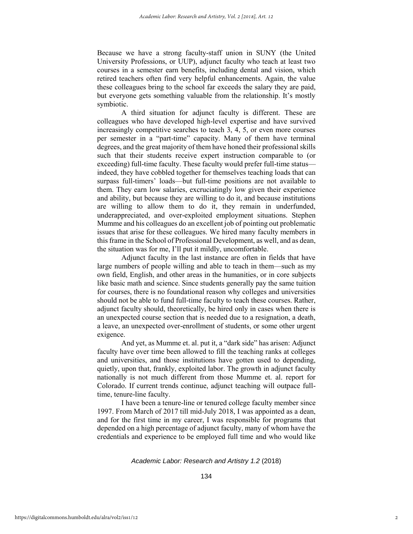Because we have a strong faculty-staff union in SUNY (the United University Professions, or UUP), adjunct faculty who teach at least two courses in a semester earn benefits, including dental and vision, which retired teachers often find very helpful enhancements. Again, the value these colleagues bring to the school far exceeds the salary they are paid, but everyone gets something valuable from the relationship. It's mostly symbiotic.

A third situation for adjunct faculty is different. These are colleagues who have developed high-level expertise and have survived increasingly competitive searches to teach 3, 4, 5, or even more courses per semester in a "part-time" capacity. Many of them have terminal degrees, and the great majority of them have honed their professional skills such that their students receive expert instruction comparable to (or exceeding) full-time faculty. These faculty would prefer full-time status indeed, they have cobbled together for themselves teaching loads that can surpass full-timers' loads—but full-time positions are not available to them. They earn low salaries, excruciatingly low given their experience and ability, but because they are willing to do it, and because institutions are willing to allow them to do it, they remain in underfunded, underappreciated, and over-exploited employment situations. Stephen Mumme and his colleagues do an excellent job of pointing out problematic issues that arise for these colleagues. We hired many faculty members in this frame in the School of Professional Development, as well, and as dean, the situation was for me, I'll put it mildly, uncomfortable.

Adjunct faculty in the last instance are often in fields that have large numbers of people willing and able to teach in them—such as my own field, English, and other areas in the humanities, or in core subjects like basic math and science. Since students generally pay the same tuition for courses, there is no foundational reason why colleges and universities should not be able to fund full-time faculty to teach these courses. Rather, adjunct faculty should, theoretically, be hired only in cases when there is an unexpected course section that is needed due to a resignation, a death, a leave, an unexpected over-enrollment of students, or some other urgent exigence.

And yet, as Mumme et. al. put it, a "dark side" has arisen: Adjunct faculty have over time been allowed to fill the teaching ranks at colleges and universities, and those institutions have gotten used to depending, quietly, upon that, frankly, exploited labor. The growth in adjunct faculty nationally is not much different from those Mumme et. al. report for Colorado. If current trends continue, adjunct teaching will outpace fulltime, tenure-line faculty.

I have been a tenure-line or tenured college faculty member since 1997. From March of 2017 till mid-July 2018, I was appointed as a dean, and for the first time in my career, I was responsible for programs that depended on a high percentage of adjunct faculty, many of whom have the credentials and experience to be employed full time and who would like

#### *Academic Labor: Research and Artistry 1.2* (2018)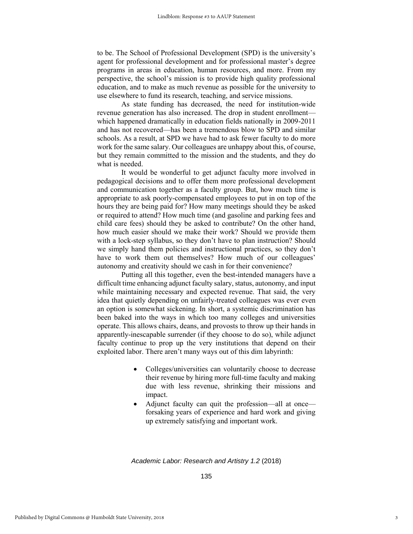to be. The School of Professional Development (SPD) is the university's agent for professional development and for professional master's degree programs in areas in education, human resources, and more. From my perspective, the school's mission is to provide high quality professional education, and to make as much revenue as possible for the university to use elsewhere to fund its research, teaching, and service missions.

As state funding has decreased, the need for institution-wide revenue generation has also increased. The drop in student enrollment which happened dramatically in education fields nationally in 2009-2011 and has not recovered—has been a tremendous blow to SPD and similar schools. As a result, at SPD we have had to ask fewer faculty to do more work for the same salary. Our colleagues are unhappy about this, of course, but they remain committed to the mission and the students, and they do what is needed.

It would be wonderful to get adjunct faculty more involved in pedagogical decisions and to offer them more professional development and communication together as a faculty group. But, how much time is appropriate to ask poorly-compensated employees to put in on top of the hours they are being paid for? How many meetings should they be asked or required to attend? How much time (and gasoline and parking fees and child care fees) should they be asked to contribute? On the other hand, how much easier should we make their work? Should we provide them with a lock-step syllabus, so they don't have to plan instruction? Should we simply hand them policies and instructional practices, so they don't have to work them out themselves? How much of our colleagues' autonomy and creativity should we cash in for their convenience?

Putting all this together, even the best-intended managers have a difficult time enhancing adjunct faculty salary, status, autonomy, and input while maintaining necessary and expected revenue. That said, the very idea that quietly depending on unfairly-treated colleagues was ever even an option is somewhat sickening. In short, a systemic discrimination has been baked into the ways in which too many colleges and universities operate. This allows chairs, deans, and provosts to throw up their hands in apparently-inescapable surrender (if they choose to do so), while adjunct faculty continue to prop up the very institutions that depend on their exploited labor. There aren't many ways out of this dim labyrinth:

- Colleges/universities can voluntarily choose to decrease their revenue by hiring more full-time faculty and making due with less revenue, shrinking their missions and impact.
- Adjunct faculty can quit the profession—all at once forsaking years of experience and hard work and giving up extremely satisfying and important work.

*Academic Labor: Research and Artistry 1.2* (2018)